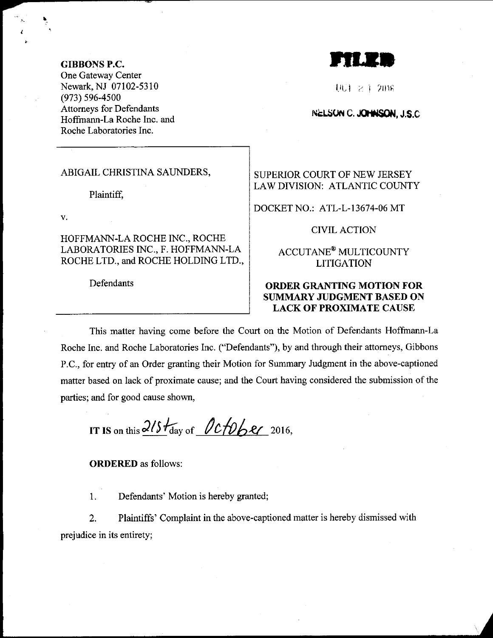GIBBGNS P.C.

One Gateway Center Newark,NJ 07102-5310 (973) s96-4s00 Attomeys for Defendants Hoffmann-La Roche Inc. and Roche Laboratories Inc.

rru;

l.旺 i 2.1 2018

NELSUN C. JOHNSON, J.S.C.

#### ABIGAIL CHRISTINA SAUNDERS,

Plaintiff,

V.

HOFFMANN.LA ROCHE INC., ROCHE LABORATORIES INC., F. HOFFMANN.LA ROCHE LTD., and ROCHE HOLDING LTD.,

**Defendants** 

SUPERIOR COURT OF NEW JERSEY LAW DIVISION: ATLANTIC COUNTY

DOCKET NO.: ATL-L-13674-06 MT

CIVIL ACTION

ACCUTANE@ MULTICOUNTY LITIGATION

## ORDER GRANTING MOTION FOR SUMMARY JUDGMENT BASED ON LACK OF PROXIMATE CAUSE

This matter having come before the Court on the Motion of Defendants Hoffmann-La Roche Inc. and Roche Laboratories Inc. ("Defendants"), by and through their attomeys, Gibbons P.C., for entry of an Order granting their Motion for Summary Judgment in the above-captioned matter based on lack of proximate cause; and the Court having considered the submission of the parties; and for good cause shown,

IT IS on this  $215t_{\rm day}$  of  $0c$  to be 2016,

ORDERED as follows:

1. Defendants' Motion is hereby granted;

2. Plaintiffs' Complaint in the above-captioned matter is hereby dismissed with prejudice in its entirety;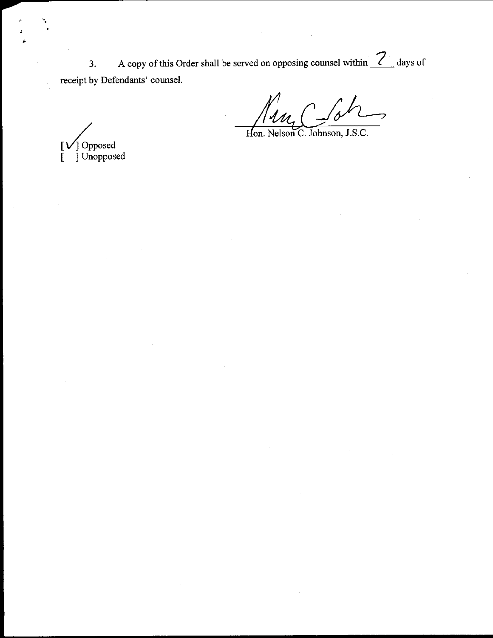A copy of this Order shall be served on opposing counsel within  $\frac{7}{2}$  days of  $3.$ receipt by Defendants' counsel.

J Opposed<br>] Unopposed  $\mathbf{I}$  $\mathbb{F}$ 

 $\bigcap$  $\mathscr{U}_{\mathcal{U}_{\mathcal{L}}}(% \mathcal{U}_{\mathcal{U}_{\mathcal{U}}})$  $\gamma$ 

Hon. Nelson C. Johnson, J.S.C.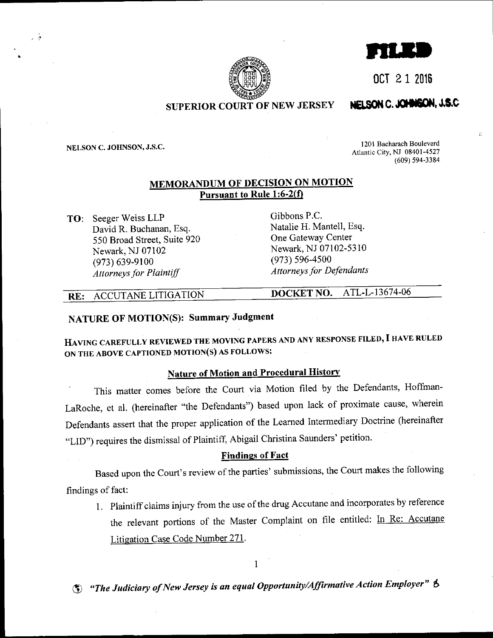OCT 2 1 2016



## **SUPERIOR COURT OF NEW JERSEY**

# NELSON C. JOHNSON, J.S.C

NELSON C. JOHNSON, J.S.C.

上呼

1201 Bacharach Boulevard Atlantic City, NJ 08401-4527  $(609)$  594-3384

## **MEMORANDUM OF DECISION ON MOTION** Pursuant to Rule 1:6-2(f)

**TO:** Seeger Weiss LLP David R. Buchanan, Esq. 550 Broad Street, Suite 920 Newark, NJ 07102  $(973) 639 - 9100$ **Attorneys for Plaintiff** 

Gibbons P.C. Natalie H. Mantell, Esq. One Gateway Center Newark, NJ 07102-5310  $(973) 596 - 4500$ **Attorneys for Defendants** 

#### ACCUTANE LITIGATION  $RE:$

ATL-L-13674-06 DOCKET NO.

## NATURE OF MOTION(S): Summary Judgment

HAVING CAREFULLY REVIEWED THE MOVING PAPERS AND ANY RESPONSE FILED, I HAVE RULED ON THE ABOVE CAPTIONED MOTION(S) AS FOLLOWS:

## **Nature of Motion and Procedural History**

This matter comes before the Court via Motion filed by the Defendants, Hoffman-LaRoche, et al. (hereinafter "the Defendants") based upon lack of proximate cause, wherein Defendants assert that the proper application of the Learned Intermediary Doctrine (hereinafter "LID") requires the dismissal of Plaintiff, Abigail Christina Saunders' petition.

#### **Findings of Fact**

Based upon the Court's review of the parties' submissions, the Court makes the following findings of fact:

1. Plaintiff claims injury from the use of the drug Accutane and incorporates by reference the relevant portions of the Master Complaint on file entitled: In Re: Accutane Litigation Case Code Number 271.

 $\mathbf{1}$ 

S "The Judiciary of New Jersey is an equal Opportunity/Affirmative Action Employer" S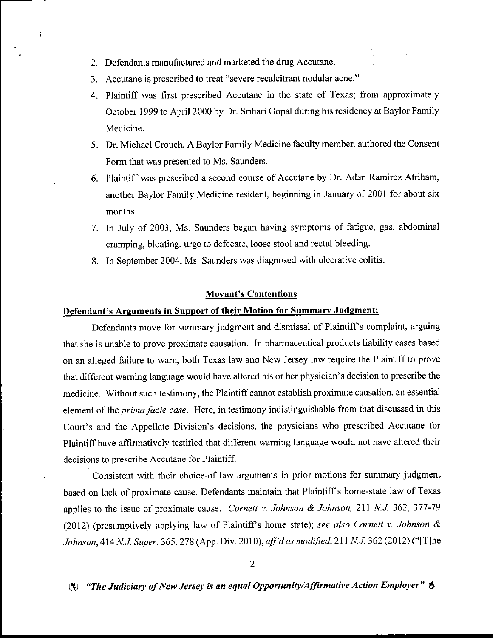2. Defendants manufactured and marketed the drug Accutane.

 $\ddot{\bm{z}}$ 

- 3. Accutane is prescribed to treat "severe tecalcitrant nodular acne."
- 4. Plaintiff was first prescribed Accutane in the state of Texas; from approximately October 1999 to April 2000 by Dr. Srihari Gopal during his residency at Baylor Family Medicine.
- 5. Dr. Michael Crouch, A Baylor Family Medicine faculty member, authored the Consent Form that was presented to Ms. Saunders.
- 6. Plaintiff was prescribed a second course of Accutane by Dr. Adan Ramirez Atriham, another Baylor Family Medicine resident, beginning in January of2001 for about six months.
- 7. In July of 2003, Ms. Saunders began having symptoms of fatigue, gas, abdominal cramping, bloating, urge to defecate, loose stool and rectal bleeding.
- 8. In September 2004, Ms. Saunders was diagnosed with ulcerative colitis.

#### Movant's Contentions

#### Defendant's Arguments in Sunport of their Motion for Summarv Judgment:

Defendants move for summary judgment and dismissal of Plaintiff's complaint, arguing that she is unable to prove proximate causation. In pharmaceutical products liability cases based on an alleged failure to wam, both Texas law and New Jersey law require the Plaintiff to prove that different warning language would have altered his or her physician's decision to prescribe the medicine. Without such testimony, the Plaintiff cannot establish proximate causation, an essential element of the prima facie case. Here, in testimony indistinguishable from that discussed in this Court's and the Appellate Division's decisions, the physicians who prescribed Accutane for Plaintiff have affirmatively testified that different waming language would not have altered their decisions to prescribe Accutane for Plaintiff.

Consistent with their choice-of law arguments in prior motions for summary judgment based on lack of proximate cause, Defendants maintain that Plaintiff s home-state law of Texas applies to the issue of proximate cause. Cornett v. Johnson & Johnson, 211 N.J. 362, 377-79 (2012) (presumptively applying law of Plaintiff's home state); see also Cornett v. Johnson  $\&$ Johnson, 414 N.J. Super. 365, 278 (App. Div. 2010), aff'd as modified, 211 N.J. 362 (2012) ("[T]he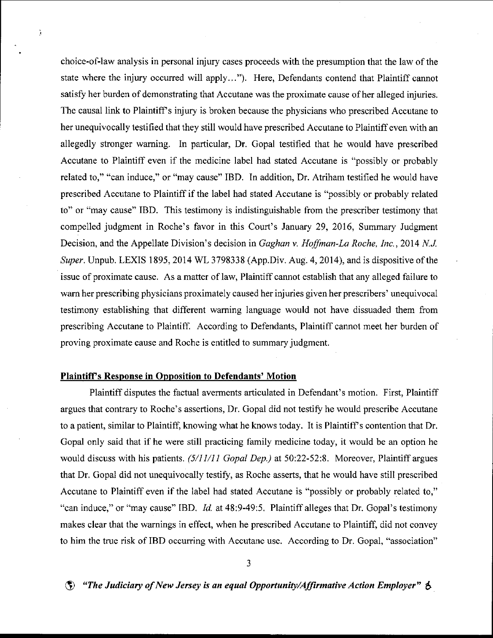choice-of-law analysis in personal injury cases proceeds with the presumption that the law of the state where the injury occurred will apply..."). Here, Defendants contend that Plaintiff cannot satisfy her burden of demonstrating that Accutane was the proximate cause of her alleged injuries. The causal link to Plaintiff's injury is broken because the physicians who prescribed Accutane to her unequivocally testified that they still would have prescribed Accutane to Plaintiff even with an allegedly stronger waming. In particular, Dr. Gopal testified that he would have prescribed Accutane to Plaintiff even if the medicine label had stated Accutane is "possibly or probably related to," "can induce," or "may cause" IBD. In addition, Dr. Atriham testified he would have prescribed Accutane to Plaintiff if the label had stated Accutane is "possibly or probably related to" or "may cause" IBD. This testimony is indistinguishable from the prescriber testimony that compelled judgment in Roche's favor in this Court's January 29, 2016, Summary Judgment Decision, and the Appellate Division's decision in Gaghan v. Hoffman-La Roche, Inc., 2014 N.J. Super, Unpub. LEXIS 1895, 2014 WL 3798338 (App.Div. Aug. 4, 2014), and is dispositive of the issue of proximate cause. As a matter of law, Plaintiff cannot establish that any alleged failure to wam her prescribing physicians proximately caused her injuries given her prescribers' unequivocal testimony establishing that different waming language would not have dissuaded them from prescribing Accutane to Plaintifl According to Defendants, Plaintiff cannot meet her burden of proving proximate cause and Roche is entitled to summary judgment.

#### Plaintiff's Response in Opposition to Defendants' Motion

 $\mathbf{j}$ 

Plaintiff disputes the factual avements articulated in Defendant's motion. First, Plaintiff argues that contrary to Roche's assertions, Dr. Gopal did not testify he would prescribe Accutane to a patient, similar to Plaintiff, knowing what he knows today. It is Plaintiff's contention that Dr. Gopal only said that if he were still practicing family medicine today, it would be an option he would discuss with his patients.  $(5/11/11$  Gopal Dep.) at 50:22-52:8. Moreover, Plaintiff argues that Dr, Gopal did not unequivocally testify, as Roche asserts, that he would have still prescribed Accutane to Plaintiff even if the label had stated Accutane is "possibly or probably related to," "can induce," or "may cause" IBD. Id. at 48:9-49:5, Plaintiff alleges that Dr. Gopal's testimony makes clear that the wamings in effect, when he prescribed Accutane to Plaintiff, did not convey to him the true risk of IBD occurring with Accutane use. According to Dr. Gopal, "association"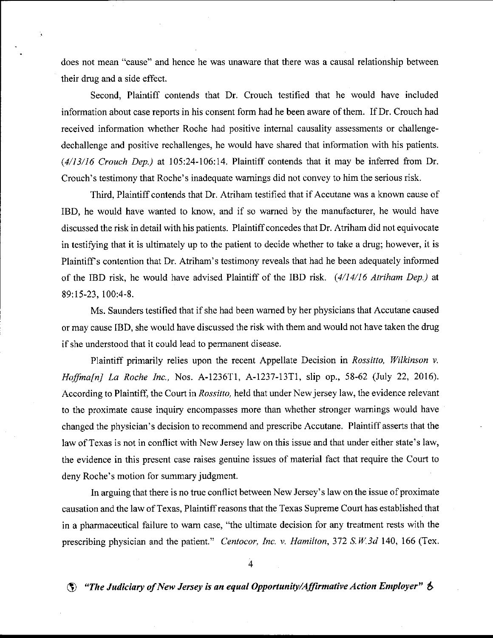does not mean "cause" and hence he was unaware that there was a causal relationship between their drug and a side effect.

Second, Plaintiff contends that Dr. Crouch testified that he would have included information about case reports in his consent form had he been aware of them. If Dr. Crouch had received information whether Roche had positive internal causality assessments or challengedechallenge and positive rechallenges, he would have shared that information with his patients. (4/13/16 Crouch Dep.) at 105:24-106:14. Plaintiff contends that it may be infened from Dr. Crouch's testimony that Roche's inadequate wamings did not convey to him the serious risk.

Third, Plaintiff contends that Dr. Atriham testified that if Accutane was a known cause of IBD, he would have wanted to know, and if so wamed by the manufacturer, he would have discussed the risk in detail with his patients. Plaintiffconcedes that Dr. Atriham did not equivocate in testifying that it is ultimately up to the patient to decide whether to take a drug; however, it is Plaintiffs contention that Dr. Atriham's testimony reveals that had he been adequately informed of the IBD risk, he would have advised Plaintiff of the IBD risk.  $(4/14/16$  Atriham Dep.) at 89:15-23, 100:4-8.

Ms. Saunders testified that if she had been wamed by her physicians that Accutane caused or may cause IBD, she would have discussed the risk with them and would not have taken the drug if she understood that it could lead to permaaent disease.

Plaintiff primarily relies upon the recent Appellate Decision in Rossitto, Wilkinson v. Hoffma[n] La Roche Inc., Nos. A-1236T1, A-1237-13T1, slip op., 58-62 (July 22, 2016). According to Plaintiff, the Court in Rossitto, held that under New jersey law, the evidence relevant to the proximate cause inquiry encompasses more than whether stronger wamings would have changed the physician's decision to recommend and prescribe Accutane. Plaintiff asserts that the law of Texas is not in conflict with New Jersey law on this issue and that under either state's law, the evidence in this present case raises genuine issues of material fact that require the Court to deny Roche's motion for summary judgment.

In arguing that there is no true conflict between New Jersey's law on the issue of proximate causation and the law ofTexas, Plaintiffreasons that the Texas Supreme Court has established that in a pharmaceutical failure to wam case, "the ultimate decision for any treatment rests with the prescribing physician and the patient." Centocor, Inc. v. Hamilton,  $372 S.W.3d140$ , 166 (Tex.

4

 $\Diamond$  "The Judiciary of New Jersey is an equal Opportunity/Affirmative Action Employer"  $\Diamond$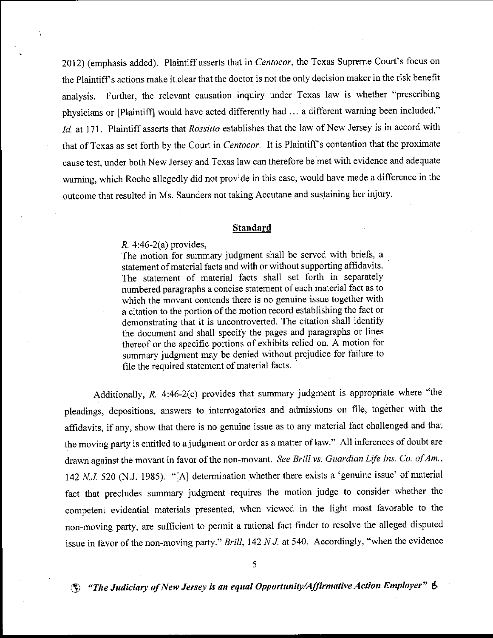2012) (emphasis added). Plaintiff asserts that in Centocor, the Texas Supreme Court's focus on the Plaintiff s actions make it clear that the doctor is not the only decision maker in the risk benefit analysis. Further, the relevant causation inquiry under Texas law is whether "prescribing physicians or [Plaintift] would have acted differently had ... a different waming been included." Id. at 171. Plaintiff asserts that Rossitto establishes that the law of New Jersey is in accord with that of Texas as set forth by the Court in Centocor. It is Plaintiff's contention that the proximate cause test, under both New Jersey and Texas law can therefore be met with evidence and adequate waming, which Roche allegedly did not provide in this case, would have made a difference in the outcome that resulted in Ms. Saunders not taking Accutane and sustaining her injury.

#### Standard

#### R. 4:46-2(a) provides,

The motion for summary judgment shall be served with briefs, <sup>a</sup> statement of material facts and with or without supporting affrdavits. The statement of material facts shall set forth in separately numbered paragraphs a concise statement of each material fact as to which the movant contends there is no genuine issue together with a citation to the portion of the motion record establishing the fact or demonstrating that it is uncontroverted. The citation shall identify the document and shall specify the pages and paragraphs or lines thereof or the specific portions of exhibits relied on. A motion for summary judgment may be denied without prejudice for failure to file the required statement of material facts.

Additionally, R. 4:46-2(c) provides that summary judgment is appropriate where "the pleadings, depositions, answers to interrogatories and admissions on file, together with the affidavits, if any, show that there is no genuine issue as to any material fact challenged and that the moving party is entitled to a judgment or order as a matter of law." A11 inferences of doubt are drawn against the movant in favor of the non-movant. See Brill vs. Guardian Life Ins. Co. of Am., 142 N.J. 520 (N.J. 1985). "[A] determination whether there exists a 'genuine issue' of material fact that precludes summary judgment requires the motion judge to consider whether the competent evidential materials presented, when viewed in the light most favorable to the non-moving party, are sufficient to pemit a rational fact finder to resolve the alleged disputed issue in favor of the non-moving party." Brill, 142 N.J. at 540. Accordingly, "when the evidence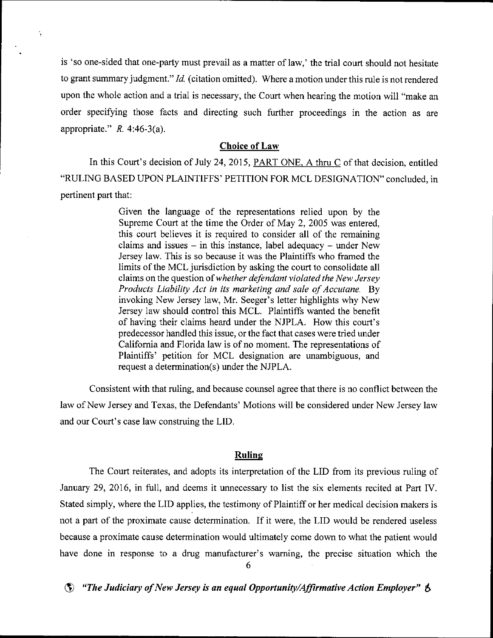is 'so one-sided that one-party must prevail as a matter of law,' the trial court should not hesitate to grant summary judgment."  $Id$ . (citation omitted). Where a motion under this rule is not rendered upon the whole action and a trial is necessary, the Court when hearing the motion will "make an order specifying those facts and directing such further proceedings in the action as are appropriate."  $R. 4:46-3(a)$ .

### Choice of Law

In this Court's decision of July 24, 2015, PART ONE. A thru C of that decision, entitled "RULING BASED UPON PLAINTIFFS' PETITION FOR MCL DESIGNATION" concluded. in pertinent part that:

> Given the language of the representations relied upon by the Supreme Court at the time the Order of May 2, 2005 was entered, this court believes it is required to consider all of the remaining claims and issues  $-$  in this instance, label adequacy  $-$  under New Jersey law. This is so because it was the Plaintiffs who framed the limits of the MCL jurisdiction by asking the court to consolidate all claims on the question of whether defendant violated the New Jersey Products Liability Act in its marketing and sale of Accutane, By invoking New Jersey law, Mr. Seeger's letter highlights why New Jersey law should control this MCL. Plaintiffs wanted the benefit of having their claims heard under the NJPLA. How this court's predecessor hardled this issue, or the fact that cases were tried under California and Florida law is of no moment. The representations of Plaintiffs' petition for MCL designation are unambiguous, and request a determination(s) under the NJPLA.

Consistent with that ruling, and because counsel agree that there is no conflict between the law of New Jersey and Texas, the Defendants' Motions will be considered under New Jersey law and our Court's case law construing the LID.

#### Ruline

The Court reiterates, and adopts its interpretation of the LID from its previous ruling of January 29,2016, in full, and deems it unnecessary to list the six elements recited at Part IV. Stated simply, where the LID applies, the testimony of Plaintiff or her medical decision makers is not a part of the proximate cause determination. If it were, the LID would be rendered useless because a proximate cause determination would ultimately come down to what the patient would have done in response to a drug manufacturer's waming, the precise situation which the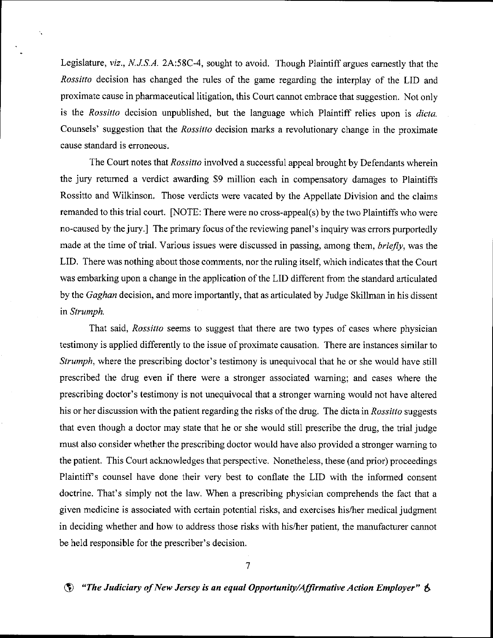Legislature, viz., N.J.S.A. 2A:58C-4, sought to avoid. Though Plaintiff argues eamestly that the Rossitto decision has changed the rules of the game regarding the interplay of the LID and proximate cause in pharmaceutical litigation, this Court cannot embrace that suggestion. Not only is the Rossitto decision unpublished, but the language which Plaintiff relies upon is dicta. Counsels' suggestion that the Rossitto decision marks a revolutionary change in the proximate cause standard is erroneous.

The Court notes that *Rossitto* involved a successful appeal brought by Defendants wherein the jury retumed a verdict awarding \$9 million each in compensatory damages to Plaintiffs Rossitto and Wilkinson. Those verdicts were vacated by the Appellate Division and the claims remanded to this trial court. INOTE: There were no cross-appeal(s) by the two Plaintiffs who were no-caused by the jury.] The primary focus of the reviewing panel's inquiry was errors purportedly made at the time of trial. Various issues were discussed in passing, among them,  $briefly$ , was the LID. There was nothing about those comments, nor the ruling itself, which indicates that the Court was embaxking upon a change in the application of the LID different from the standard articulated by the *Gaghan* decision, and more importantly, that as articulated by Judge Skillman in his dissent in Strumph.

That said, Rossitto seems to suggest that there are two types of cases where physician testimony is applied differently to the issue of proximate causation. There are instances similar to Strumph, where the prescribing doctor's testimony is unequivocal that he or she would have still prescribed the drug even if there were a stronger associated warning; and cases where the prescribing doctor's testimony is not unequivocal that a stronger waming would not have altered his or her discussion with the patient regarding the risks of the drug. The dicta in Rossitto suggests that even though a doctor may state that he or she would still prescribe the drug, the trial judge must also consider whether the prescribing doctor would have also provided a stronger waming to the patient. This Court acknowledges that perspective. Nonetheless, these (and prior) proceedings Plaintiffs counsel have done their very best to conflate the LID with the informed consent doctrine. That's simply not the law. When a prescribing physician comprehends the fact that a given medicine is associated with certain potential risks, and exercises his/her medical judgment in deciding whether and how to address those risks with his/her patient, the manufacturer cannot be held responsible for the prescriber's decision.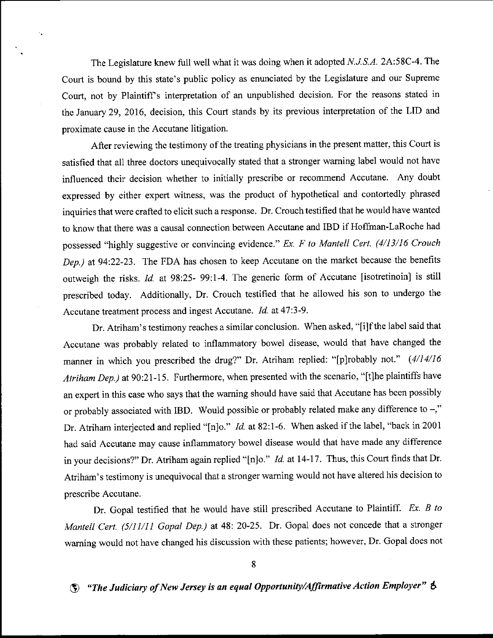The Legislature knew full well what it was doing when it adopted N.J.S.A. 2A:58C-4. The Court is bound by this state's public policy as enunciated by the Legislature and our Supreme Court, not by Plaintiff's interpretation of an unpublished decision. For the reasons stated in the January 29,2016, decision, this Court stands by its previous interpretation of the LID and proximate cause in the Accutane litigation.

After reviewing the testimony of the treating physicians in the present matter, this Court is satisfied that all three doctors unequivocally stated that a stronger waming label would not have influenced their decision whether to initially prescribe or recommend Accutane. Any doubt expressed by either expert witness, was the product of hypothetical and contortedly phrased inquiries that were crafted to elicit such a response. Dr. Crouch testified that he would have wanted to know that there was a causal connection between Accutane and IBD if Hoffman-LaRoche had possessed "highly suggestive or convincing evidence." Ex. F to Mantell Cert. (4/13/16 Crouch Dep.) at 94:22-23. The FDA has chosen to keep Accutane on the market because the benefits outweigh the risks. Id. at 98:25- 99:1-4. The generic form of Accutane [isotretinoin] is still prescribed today. Additionally, Dr. crouch testified that he allowed his son to undergo the Accutane treatment process and ingest Accutane. Id. at 47:3-9.

Dr. Atriham's testimony reaches a similar conclusion. When asked, "[i]f the label said that Accutane was probably related to inflammatory bowel disease, would that have changed the manner in which you prescribed the drug?" Dr. Atriham replied: "[p]robably not."  $(4/14/16$ Atriham Dep.) at 90:21-15. Furthermore, when presented with the scenario, "[t]he plaintiffs have an expert in this case who says that the warning should have said that Accutane has been possibly or probably associated with IBD. Would possible or probably related make any difference to  $-$ ," Dr. Atriham interjected and replied "[n]o." *Id.* at 82:1-6. When asked if the label, "back in 2001 had said Accutane may cause inflammatory bowel disease would that have made any difference in your decisions?" Dr. Atriham again replied "[n]o." *Id.* at 14-17. Thus, this Court finds that Dr. Atriham's testimony is unequivocal that a stronger waming would not have altered his decision to prescribe Accutane.

Dr. Gopal testified that he would have still prescribed Accutane to Plaintiff. Ex. B to Mantell Cert. (5/11/11 Gopal Dep.) at 48: 20-25. Dr. Gopal does not concede that a stronger waming would not have changed his discussion with these patients; however, Dr. Gopal does not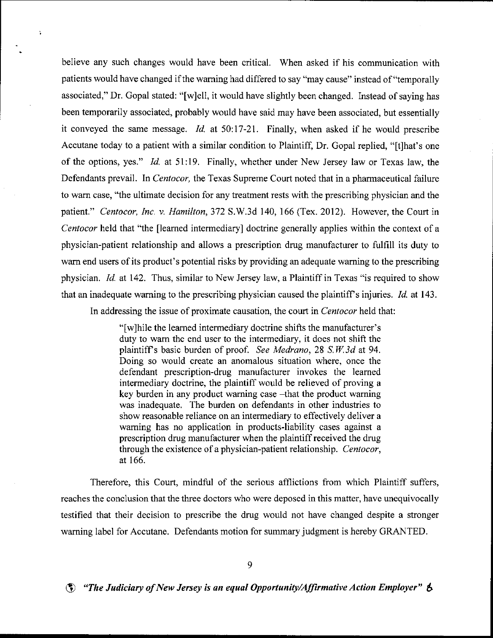believe any such changes would have been critical. When asked if his communication with patients would have changed if the waming had differed to say "may cause" instead of "temporally associated," Dr. Gopal stated: "[w]ell, it would have slightly been changed. Instead of saying has been temporarily associated, probably would have said may have been associated, but essentially it conveyed the same message.  $Id$  at 50:17-21. Finally, when asked if he would prescribe Accutane today to a patient with a similar condition to Plaintiff, Dr. Gopal replied, "[t]hat's one of the options, yes." ld. at 51:19. Finally, whether under New Jersey law or Texas law, the Defendants prevail. In Centocor, the Texas Supreme Court noted that in a pharmaceutical failure to warn case, "the ultimate decision for any treatment rests with the prescribing physician and the patient." Centocor, Inc. v. Hamilton, 372 S.W.3d 140, 166 (Tex. 2012). However, the Court in Centocor held that 'the fleamed intermediary] doctrine generally applies within the context of <sup>a</sup> physician-patient relationship and allows a prescription drug manufacturer to fulfill its duty to wam end users of its product's potential risks by providing an adequate waming to the prescribing physician. Id. at 142. Thus, similar to New Jersey law, a Plaintiff in Texas "is required to show that an inadequate warning to the prescribing physician caused the plaintiff's injuries.  $Id$  at 143.

 $\ddot{\phantom{a}}$ 

In addressing the issue of proximate causation, the court in *Centocor* held that:

"[w]hile the learned intermediary doctrine shifts the manufacturer's duty to warn the end user to the intermediary, it does not shift the plaintiff's basic burden of proof. See Medrano,  $28 \text{ S} W.3d$  at 94. Doing so would create an aromalous situation where, once the defendant prescription-drug manufacturer invokes the leamed intermediary doctrine, the plaintiff would be relieved of proving a key burden in any product warning case -that the product warning was inadequate. The burden on defendants in other industries to show reasonable reliance on an intemediary to effectively deliver a waming has no application in products-liability cases against <sup>a</sup> prescription drug manufacturer when the plaintiff received the drug through the existence of a physician-patient relationship. Centocor, at 166.

Therefore, this Court, mindful of the serious afflictions from which Plaintiff suffers, reaches the conclusion that the three doctors who were deposed in this matter, have unequivocally testified that their decision to prescribe the drug would not have changed despite a stronger waming label for Accutane. Defendants motion for summary judgment is hereby GRANTED.

9